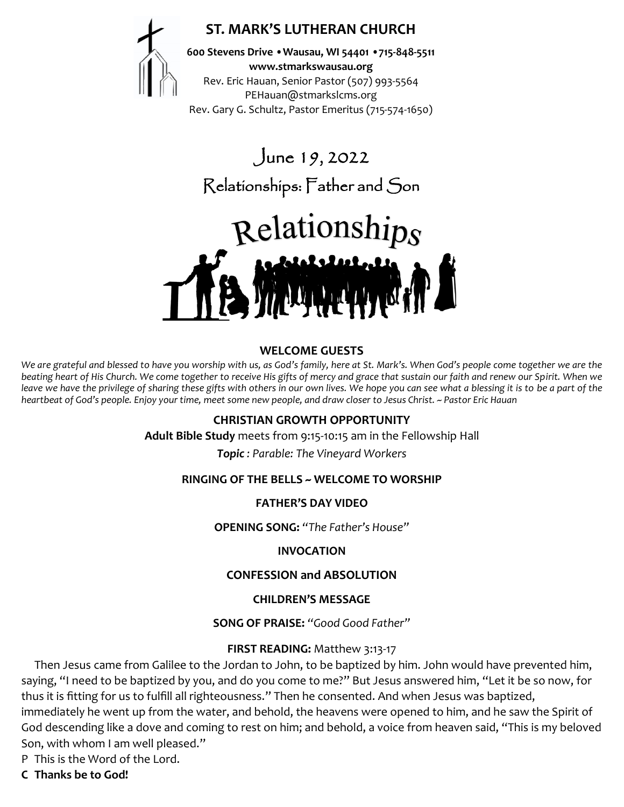# **ST. MARK'S LUTHERAN CHURCH**



**600 Stevens Drive •Wausau, WI 54401 •715-848-5511 www.stmarkswausau.org** Rev. Eric Hauan, Senior Pastor (507) 993-5564 PEHauan@stmarkslcms.org Rev. Gary G. Schultz, Pastor Emeritus (715-574-1650)

June 19, 2022 Relationships: Father and Son

# Relationshi<sub>ps</sub>

## **WELCOME GUESTS**

*We are grateful and blessed to have you worship with us, as God's family, here at St. Mark's. When God's people come together we are the beating heart of His Church. We come together to receive His gifts of mercy and grace that sustain our faith and renew our Spirit. When we*  leave we have the privilege of sharing these gifts with others in our own lives. We hope you can see what a blessing it is to be a part of the *heartbeat of God's people. Enjoy your time, meet some new people, and draw closer to Jesus Christ. ~ Pastor Eric Hauan*

# **CHRISTIAN GROWTH OPPORTUNITY**

**Adult Bible Study** meets from 9:15-10:15 am in the Fellowship Hall

*Topic : Parable: The Vineyard Workers*

# **RINGING OF THE BELLS ~ WELCOME TO WORSHIP**

# **FATHER'S DAY VIDEO**

**OPENING SONG:** *"The Father's House"*

### **INVOCATION**

# **CONFESSION and ABSOLUTION**

# **CHILDREN'S MESSAGE**

# **SONG OF PRAISE:** *"Good Good Father"*

# **FIRST READING:** Matthew 3:13-17

Then Jesus came from Galilee to the Jordan to John, to be baptized by him. John would have prevented him, saying, "I need to be baptized by you, and do you come to me?" But Jesus answered him, "Let it be so now, for thus it is fitting for us to fulfill all righteousness." Then he consented. And when Jesus was baptized,

immediately he went up from the water, and behold, the heavens were opened to him, and he saw the Spirit of God descending like a dove and coming to rest on him; and behold, a voice from heaven said, "This is my beloved Son, with whom I am well pleased."

P This is the Word of the Lord.

**C Thanks be to God!**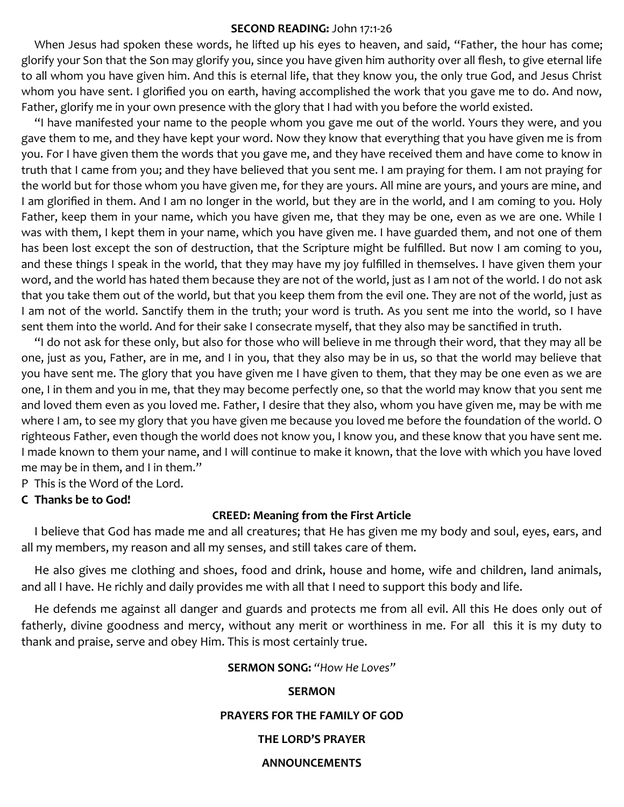#### **SECOND READING:** John 17:1-26

When Jesus had spoken these words, he lifted up his eyes to heaven, and said, "Father, the hour has come; glorify your Son that the Son may glorify you, since you have given him authority over all flesh, to give eternal life to all whom you have given him. And this is eternal life, that they know you, the only true God, and Jesus Christ whom you have sent. I glorified you on earth, having accomplished the work that you gave me to do. And now, Father, glorify me in your own presence with the glory that I had with you before the world existed.

"I have manifested your name to the people whom you gave me out of the world. Yours they were, and you gave them to me, and they have kept your word. Now they know that everything that you have given me is from you. For I have given them the words that you gave me, and they have received them and have come to know in truth that I came from you; and they have believed that you sent me. I am praying for them. I am not praying for the world but for those whom you have given me, for they are yours. All mine are yours, and yours are mine, and I am glorified in them. And I am no longer in the world, but they are in the world, and I am coming to you. Holy Father, keep them in your name, which you have given me, that they may be one, even as we are one. While I was with them, I kept them in your name, which you have given me. I have guarded them, and not one of them has been lost except the son of destruction, that the Scripture might be fulfilled. But now I am coming to you, and these things I speak in the world, that they may have my joy fulfilled in themselves. I have given them your word, and the world has hated them because they are not of the world, just as I am not of the world. I do not ask that you take them out of the world, but that you keep them from the evil one. They are not of the world, just as I am not of the world. Sanctify them in the truth; your word is truth. As you sent me into the world, so I have sent them into the world. And for their sake I consecrate myself, that they also may be sanctified in truth.

"I do not ask for these only, but also for those who will believe in me through their word, that they may all be one, just as you, Father, are in me, and I in you, that they also may be in us, so that the world may believe that you have sent me. The glory that you have given me I have given to them, that they may be one even as we are one, I in them and you in me, that they may become perfectly one, so that the world may know that you sent me and loved them even as you loved me. Father, I desire that they also, whom you have given me, may be with me where I am, to see my glory that you have given me because you loved me before the foundation of the world. O righteous Father, even though the world does not know you, I know you, and these know that you have sent me. I made known to them your name, and I will continue to make it known, that the love with which you have loved me may be in them, and I in them."

P This is the Word of the Lord.

#### **C Thanks be to God!**

#### **CREED: Meaning from the First Article**

I believe that God has made me and all creatures; that He has given me my body and soul, eyes, ears, and all my members, my reason and all my senses, and still takes care of them.

He also gives me clothing and shoes, food and drink, house and home, wife and children, land animals, and all I have. He richly and daily provides me with all that I need to support this body and life.

He defends me against all danger and guards and protects me from all evil. All this He does only out of fatherly, divine goodness and mercy, without any merit or worthiness in me. For all this it is my duty to thank and praise, serve and obey Him. This is most certainly true.

#### **SERMON SONG:** *"How He Loves"*

#### **SERMON**

#### **PRAYERS FOR THE FAMILY OF GOD**

#### **THE LORD'S PRAYER**

#### **ANNOUNCEMENTS**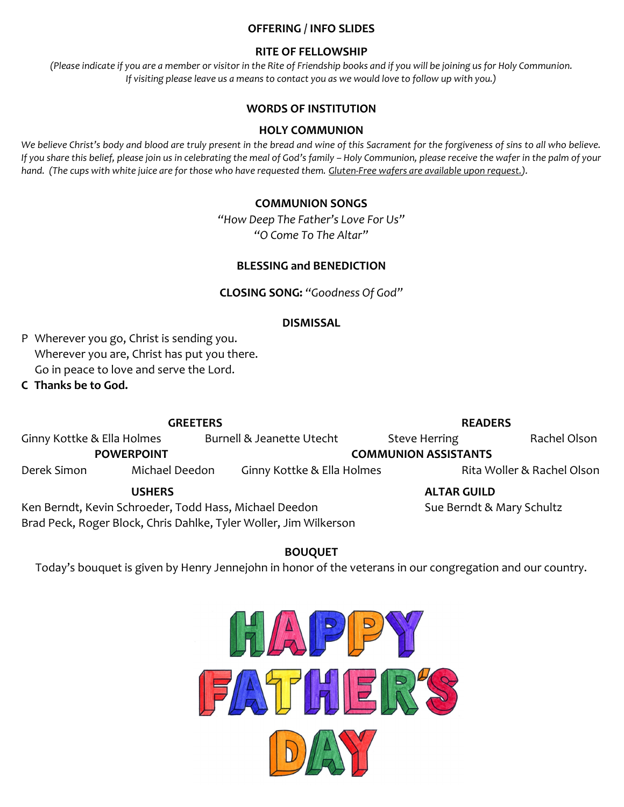#### **OFFERING / INFO SLIDES**

#### **RITE OF FELLOWSHIP**

*(Please indicate if you are a member or visitor in the Rite of Friendship books and if you will be joining us for Holy Communion. If visiting please leave us a means to contact you as we would love to follow up with you.)*

#### **WORDS OF INSTITUTION**

#### **HOLY COMMUNION**

*We believe Christ's body and blood are truly present in the bread and wine of this Sacrament for the forgiveness of sins to all who believe. If you share this belief, please join us in celebrating the meal of God's family – Holy Communion, please receive the wafer in the palm of your hand. (The cups with white juice are for those who have requested them. Gluten-Free wafers are available upon request.).*

#### **COMMUNION SONGS**

*"How Deep The Father's Love For Us" "O Come To The Altar"*

#### **BLESSING and BENEDICTION**

**CLOSING SONG:** *"Goodness Of God"*

#### **DISMISSAL**

P Wherever you go, Christ is sending you. Wherever you are, Christ has put you there. Go in peace to love and serve the Lord.

**C Thanks be to God.**

**GREETERS READERS** Ginny Kottke & Ella Holmes Burnell & Jeanette Utecht Steve Herring Rachel Olson **POWERPOINT COMMUNION ASSISTANTS** Derek Simon Michael Deedon Ginny Kottke & Ella Holmes Rita Woller & Rachel Olson **USHERS ALTAR GUILD** Ken Berndt, Kevin Schroeder, Todd Hass, Michael Deedon Sue Berndt & Mary Schultz Brad Peck, Roger Block, Chris Dahlke, Tyler Woller, Jim Wilkerson

#### **BOUQUET**

Today's bouquet is given by Henry Jennejohn in honor of the veterans in our congregation and our country.

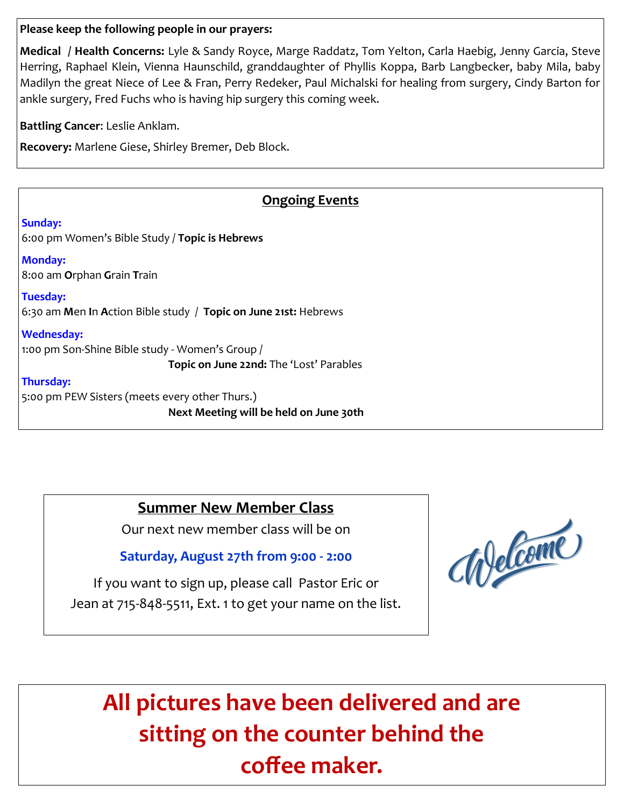#### **Please keep the following people in our prayers:**

**Medical / Health Concerns:** Lyle & Sandy Royce, Marge Raddatz, Tom Yelton, Carla Haebig, Jenny Garcia, Steve Herring, Raphael Klein, Vienna Haunschild, granddaughter of Phyllis Koppa, Barb Langbecker, baby Mila, baby Madilyn the great Niece of Lee & Fran, Perry Redeker, Paul Michalski for healing from surgery, Cindy Barton for ankle surgery, Fred Fuchs who is having hip surgery this coming week.

**Battling Cancer**: Leslie Anklam.

**Recovery:** Marlene Giese, Shirley Bremer, Deb Block.

# **Ongoing Events**

| <b>Sunday:</b><br>6:00 pm Women's Bible Study / Topic is Hebrews                                                |
|-----------------------------------------------------------------------------------------------------------------|
| <b>Monday:</b><br>8:00 am Orphan Grain Train                                                                    |
| Tuesday:<br>6:30 am Men In Action Bible study / Topic on June 21st: Hebrews                                     |
| <b>Wednesday:</b><br>1:00 pm Son-Shine Bible study - Women's Group /<br>Topic on June 22nd: The 'Lost' Parables |
| Thursday:                                                                                                       |

5:00 pm PEW Sisters (meets every other Thurs.) **Next Meeting will be held on June 30th**

# **Summer New Member Class**

Our next new member class will be on

**Saturday, August 27th from 9:00 - 2:00**

If you want to sign up, please call Pastor Eric or Jean at 715-848-5511, Ext. 1 to get your name on the list.



**All pictures have been delivered and are sitting on the counter behind the coffee maker.**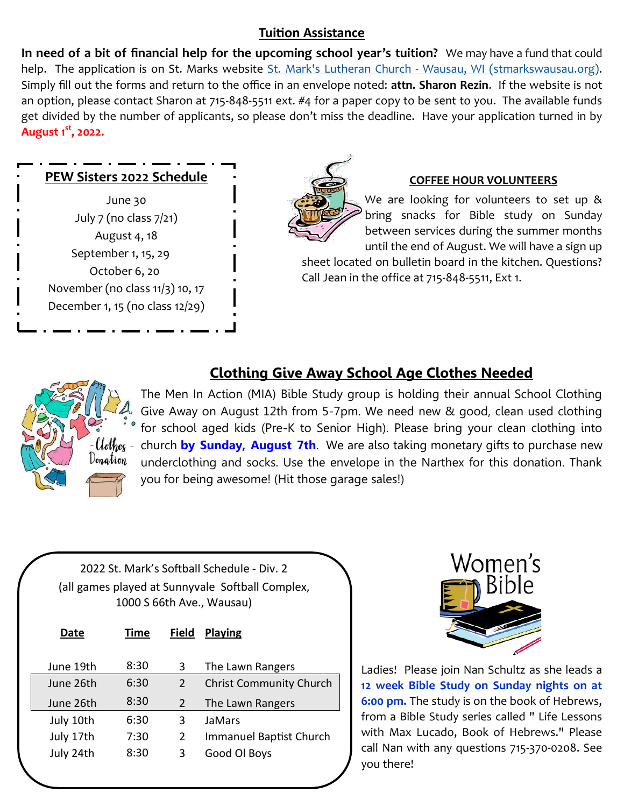# **Tuition Assistance**

**In need of a bit of financial help for the upcoming school year's tuition?** We may have a fund that could help. The application is on St. Marks website St. Mark's Lutheran Church - [Wausau, WI \(stmarkswausau.org\).](https://stmarkswausau.org/) Simply fill out the forms and return to the office in an envelope noted: **attn. Sharon Rezin**. If the website is not an option, please contact Sharon at 715-848-5511 ext. #4 for a paper copy to be sent to you. The available funds get divided by the number of applicants, so please don't miss the deadline. Have your application turned in by **August 1st, 2022.** 

#### **PEW Sisters 2022 Schedule**

June 30 July 7 (no class 7/21) August 4, 18 September 1, 15, 29 October 6, 20 November (no class 11/3) 10, 17 December 1, 15 (no class 12/29)



#### **COFFEE HOUR VOLUNTEERS**

We are looking for volunteers to set up & bring snacks for Bible study on Sunday between services during the summer months until the end of August. We will have a sign up

sheet located on bulletin board in the kitchen. Questions? Call Jean in the office at 715-848-5511, Ext 1.



# **Clothing Give Away School Age Clothes Needed**

The Men In Action (MIA) Bible Study group is holding their annual School Clothing Give Away on August 12th from 5-7pm. We need new & good, clean used clothing for school aged kids (Pre-K to Senior High). Please bring your clean clothing into church **by Sunday, August 7th**. We are also taking monetary gifts to purchase new underclothing and socks. Use the envelope in the Narthex for this donation. Thank you for being awesome! (Hit those garage sales!)

2022 St. Mark's Softball Schedule - Div. 2 (all games played at Sunnyvale Softball Complex, 1000 S 66th Ave., Wausau)

| Date      | Time | <b>Field</b> | <b>Playing</b>                 |
|-----------|------|--------------|--------------------------------|
| June 19th | 8:30 | 3            | The Lawn Rangers               |
| June 26th | 6:30 | 2            | <b>Christ Community Church</b> |
| June 26th | 8:30 | 2            | The Lawn Rangers               |
| July 10th | 6:30 | 3            | JaMars                         |
| July 17th | 7:30 | 2            | <b>Immanuel Baptist Church</b> |
| July 24th | 8:30 | 3            | Good Ol Boys                   |
|           |      |              |                                |



Ladies! Please join Nan Schultz as she leads a **12 week Bible Study on Sunday nights on at 6:00 pm.** The study is on the book of Hebrews, from a Bible Study series called " Life Lessons with Max Lucado, Book of Hebrews." Please call Nan with any questions 715-370-0208. See you there!